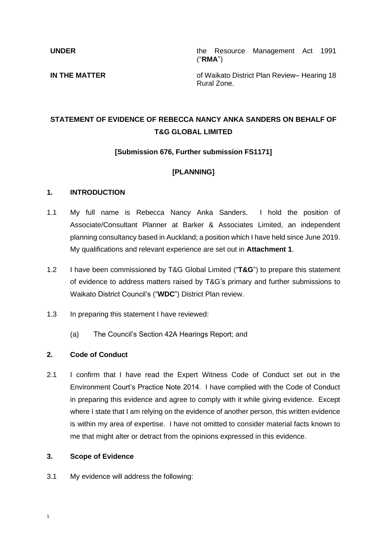**UNDER** the Resource Management Act 1991 ("**RMA**")

**IN THE MATTER IN THE MATTER of Waikato District Plan Review– Hearing 18** Rural Zone.

# **STATEMENT OF EVIDENCE OF REBECCA NANCY ANKA SANDERS ON BEHALF OF T&G GLOBAL LIMITED**

## **[Submission 676, Further submission FS1171]**

## **[PLANNING]**

#### **1. INTRODUCTION**

- 1.1 My full name is Rebecca Nancy Anka Sanders. I hold the position of Associate/Consultant Planner at Barker & Associates Limited, an independent planning consultancy based in Auckland; a position which I have held since June 2019. My qualifications and relevant experience are set out in **Attachment 1**.
- 1.2 I have been commissioned by T&G Global Limited ("**T&G**") to prepare this statement of evidence to address matters raised by T&G's primary and further submissions to Waikato District Council's ("**WDC**") District Plan review.
- 1.3 In preparing this statement I have reviewed:
	- (a) The Council's Section 42A Hearings Report; and

## **2. Code of Conduct**

2.1 I confirm that I have read the Expert Witness Code of Conduct set out in the Environment Court's Practice Note 2014. I have complied with the Code of Conduct in preparing this evidence and agree to comply with it while giving evidence. Except where I state that I am relying on the evidence of another person, this written evidence is within my area of expertise. I have not omitted to consider material facts known to me that might alter or detract from the opinions expressed in this evidence.

#### **3. Scope of Evidence**

3.1 My evidence will address the following: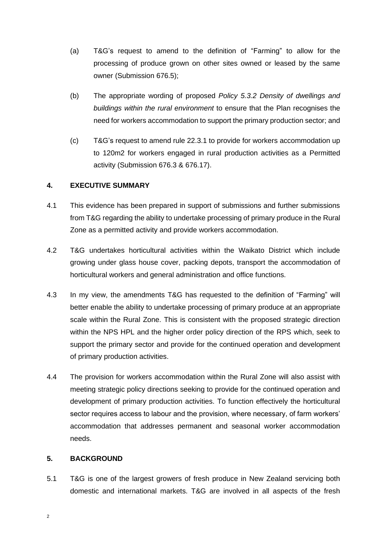- (a) T&G's request to amend to the definition of "Farming" to allow for the processing of produce grown on other sites owned or leased by the same owner (Submission 676.5);
- (b) The appropriate wording of proposed *Policy 5.3.2 Density of dwellings and buildings within the rural environment* to ensure that the Plan recognises the need for workers accommodation to support the primary production sector; and
- (c) T&G's request to amend rule 22.3.1 to provide for workers accommodation up to 120m2 for workers engaged in rural production activities as a Permitted activity (Submission 676.3 & 676.17).

## **4. EXECUTIVE SUMMARY**

- 4.1 This evidence has been prepared in support of submissions and further submissions from T&G regarding the ability to undertake processing of primary produce in the Rural Zone as a permitted activity and provide workers accommodation.
- 4.2 T&G undertakes horticultural activities within the Waikato District which include growing under glass house cover, packing depots, transport the accommodation of horticultural workers and general administration and office functions.
- 4.3 In my view, the amendments T&G has requested to the definition of "Farming" will better enable the ability to undertake processing of primary produce at an appropriate scale within the Rural Zone. This is consistent with the proposed strategic direction within the NPS HPL and the higher order policy direction of the RPS which, seek to support the primary sector and provide for the continued operation and development of primary production activities.
- 4.4 The provision for workers accommodation within the Rural Zone will also assist with meeting strategic policy directions seeking to provide for the continued operation and development of primary production activities. To function effectively the horticultural sector requires access to labour and the provision, where necessary, of farm workers' accommodation that addresses permanent and seasonal worker accommodation needs.

### **5. BACKGROUND**

5.1 T&G is one of the largest growers of fresh produce in New Zealand servicing both domestic and international markets. T&G are involved in all aspects of the fresh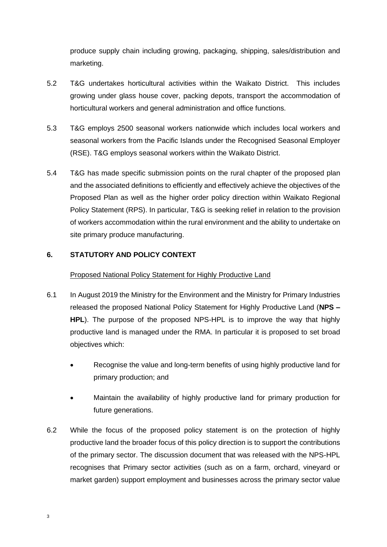produce supply chain including growing, packaging, shipping, sales/distribution and marketing.

- 5.2 T&G undertakes horticultural activities within the Waikato District. This includes growing under glass house cover, packing depots, transport the accommodation of horticultural workers and general administration and office functions.
- 5.3 T&G employs 2500 seasonal workers nationwide which includes local workers and seasonal workers from the Pacific Islands under the Recognised Seasonal Employer (RSE). T&G employs seasonal workers within the Waikato District.
- 5.4 T&G has made specific submission points on the rural chapter of the proposed plan and the associated definitions to efficiently and effectively achieve the objectives of the Proposed Plan as well as the higher order policy direction within Waikato Regional Policy Statement (RPS). In particular, T&G is seeking relief in relation to the provision of workers accommodation within the rural environment and the ability to undertake on site primary produce manufacturing.

## **6. STATUTORY AND POLICY CONTEXT**

#### Proposed National Policy Statement for Highly Productive Land

- 6.1 In August 2019 the Ministry for the Environment and the Ministry for Primary Industries released the proposed National Policy Statement for Highly Productive Land (**NPS – HPL**). The purpose of the proposed NPS-HPL is to improve the way that highly productive land is managed under the RMA. In particular it is proposed to set broad objectives which:
	- Recognise the value and long-term benefits of using highly productive land for primary production; and
	- Maintain the availability of highly productive land for primary production for future generations.
- 6.2 While the focus of the proposed policy statement is on the protection of highly productive land the broader focus of this policy direction is to support the contributions of the primary sector. The discussion document that was released with the NPS-HPL recognises that Primary sector activities (such as on a farm, orchard, vineyard or market garden) support employment and businesses across the primary sector value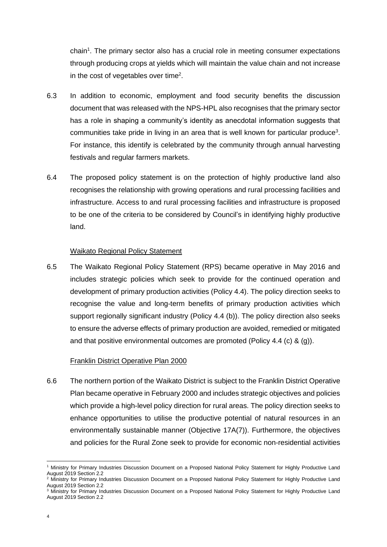chain<sup>1</sup>. The primary sector also has a crucial role in meeting consumer expectations through producing crops at yields which will maintain the value chain and not increase in the cost of vegetables over time<sup>2</sup>.

- 6.3 In addition to economic, employment and food security benefits the discussion document that was released with the NPS-HPL also recognises that the primary sector has a role in shaping a community's identity as anecdotal information suggests that communities take pride in living in an area that is well known for particular produce<sup>3</sup>. For instance, this identify is celebrated by the community through annual harvesting festivals and regular farmers markets.
- 6.4 The proposed policy statement is on the protection of highly productive land also recognises the relationship with growing operations and rural processing facilities and infrastructure. Access to and rural processing facilities and infrastructure is proposed to be one of the criteria to be considered by Council's in identifying highly productive land.

#### Waikato Regional Policy Statement

6.5 The Waikato Regional Policy Statement (RPS) became operative in May 2016 and includes strategic policies which seek to provide for the continued operation and development of primary production activities (Policy 4.4). The policy direction seeks to recognise the value and long-term benefits of primary production activities which support regionally significant industry (Policy 4.4 (b)). The policy direction also seeks to ensure the adverse effects of primary production are avoided, remedied or mitigated and that positive environmental outcomes are promoted (Policy 4.4 (c) & (g)).

#### Franklin District Operative Plan 2000

6.6 The northern portion of the Waikato District is subject to the Franklin District Operative Plan became operative in February 2000 and includes strategic objectives and policies which provide a high-level policy direction for rural areas. The policy direction seeks to enhance opportunities to utilise the productive potential of natural resources in an environmentally sustainable manner (Objective 17A(7)). Furthermore, the objectives and policies for the Rural Zone seek to provide for economic non-residential activities

<sup>1</sup> Ministry for Primary Industries Discussion Document on a Proposed National Policy Statement for Highly Productive Land August 2019 Section 2.2

<sup>&</sup>lt;sup>2</sup> Ministry for Primary Industries Discussion Document on a Proposed National Policy Statement for Highly Productive Land August 2019 Section 2.2

<sup>&</sup>lt;sup>3</sup> Ministry for Primary Industries Discussion Document on a Proposed National Policy Statement for Highly Productive Land August 2019 Section 2.2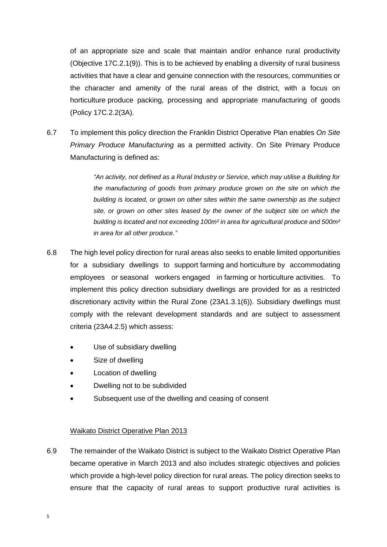of an appropriate size and scale that maintain and/or enhance rural productivity (Objective 17C.2.1(9)). This is to be achieved by enabling a diversity of rural business activities that have a clear and genuine connection with the resources, communities or the character and amenity of the rural areas of the district, with a focus on [horticulture](http://districtplan.waidc.govt.nz/pages/plan/book.aspx?exhibit=FS3) produce packing, processing and appropriate manufacturing of goods (Policy 17C.2.2(3A).

6.7 To implement this policy direction the Franklin District Operative Plan enables *On Site Primary Produce Manufacturing* as a permitted activity. On Site Primary Produce Manufacturing is defined as:

> *"An activity, not defined as a Rural Industry or Service, which may utilise a Building for the manufacturing of goods from primary produce grown on the site on which the building is located, or grown on other sites within the same ownership as the subject site, or grown on other sites leased by the owner of the subject site on which the building is located and not exceeding 100m² in area for agricultural produce and 500m² in area for all other produce."*

- 6.8 The high level policy direction for rural areas also seeks to enable limited opportunities for a subsidiary dwellings to support [farming](http://districtplan.waidc.govt.nz/pages/plan/book.aspx?exhibit=FS3) and [horticulture](http://districtplan.waidc.govt.nz/pages/plan/book.aspx?exhibit=FS3) by accommodating employees or [seasonal workers](http://districtplan.waidc.govt.nz/pages/plan/book.aspx?exhibit=FS3) engaged in [farming](http://districtplan.waidc.govt.nz/pages/plan/book.aspx?exhibit=FS3) or [horticulture](http://districtplan.waidc.govt.nz/pages/plan/book.aspx?exhibit=FS3) activities. To implement this policy direction subsidiary dwellings are provided for as a restricted discretionary activity within the Rural Zone (23A1.3.1(6)). Subsidiary dwellings must comply with the relevant development standards and are subject to assessment criteria (23A4.2.5) which assess:
	- Use of subsidiary dwelling
	- Size of dwelling
	- Location of dwelling
	- Dwelling not to be subdivided
	- Subsequent use of the dwelling and ceasing of consent

## Waikato District Operative Plan 2013

6.9 The remainder of the Waikato District is subject to the Waikato District Operative Plan became operative in March 2013 and also includes strategic objectives and policies which provide a high-level policy direction for rural areas. The policy direction seeks to ensure that the capacity of rural areas to support productive rural activities is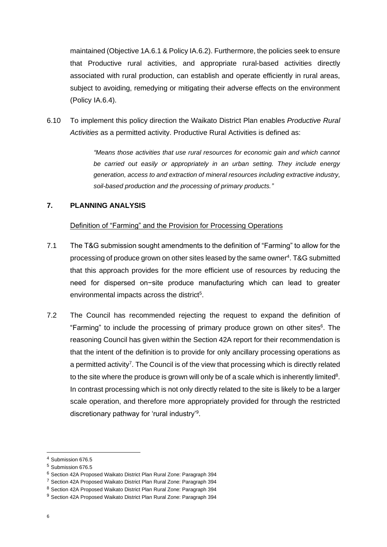maintained (Objective 1A.6.1 & Policy IA.6.2). Furthermore, the policies seek to ensure that [Productive rural activities,](http://districtplan.waidc.govt.nz/pages/plan/book.aspx?exhibit=WS) and appropriate rural-based activities directly associated with rural production, can establish and operate efficiently in rural areas, subject to avoiding, remedying or mitigating their adverse effects on the environment (Policy IA.6.4).

6.10 To implement this policy direction the Waikato District Plan enables *Productive Rural Activities* as a permitted activity. Productive Rural Activities is defined as:

> *"Means those activities that use rural resources for economic gain and which cannot be carried out easily or appropriately in an urban setting. They include energy generation, access to and extraction o[f mineral](http://districtplan.waidc.govt.nz/pages/plan/book.aspx?exhibit=WS) resources including [extractive industry,](http://districtplan.waidc.govt.nz/pages/plan/book.aspx?exhibit=WS) soil-based production and the processing of primary products."*

## **7. PLANNING ANALYSIS**

## Definition of "Farming" and the Provision for Processing Operations

- 7.1 The T&G submission sought amendments to the definition of "Farming" to allow for the processing of produce grown on other sites leased by the same owner<sup>4</sup>. T&G submitted that this approach provides for the more efficient use of resources by reducing the need for dispersed on−site produce manufacturing which can lead to greater environmental impacts across the district<sup>5</sup>.
- 7.2 The Council has recommended rejecting the request to expand the definition of "Farming" to include the processing of primary produce grown on other sites<sup>6</sup>. The reasoning Council has given within the Section 42A report for their recommendation is that the intent of the definition is to provide for only ancillary processing operations as a permitted activity<sup>7</sup>. The Council is of the view that processing which is directly related to the site where the produce is grown will only be of a scale which is inherently limited<sup>8</sup>. In contrast processing which is not only directly related to the site is likely to be a larger scale operation, and therefore more appropriately provided for through the restricted discretionary pathway for 'rural industry'<sup>9</sup> .

<sup>4</sup> Submission 676.5

<sup>5</sup> Submission 676.5

<sup>6</sup> Section 42A Proposed Waikato District Plan Rural Zone: Paragraph 394

<sup>7</sup> Section 42A Proposed Waikato District Plan Rural Zone: Paragraph 394

<sup>8</sup> Section 42A Proposed Waikato District Plan Rural Zone: Paragraph 394

<sup>9</sup> Section 42A Proposed Waikato District Plan Rural Zone: Paragraph 394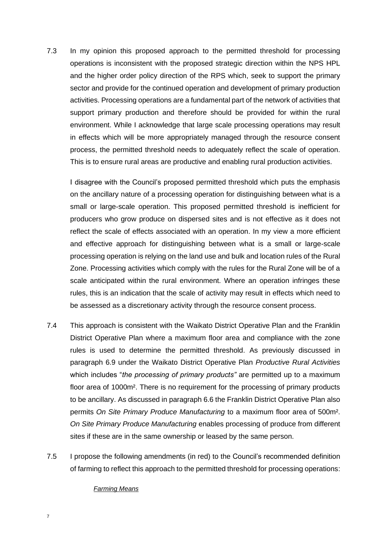7.3 In my opinion this proposed approach to the permitted threshold for processing operations is inconsistent with the proposed strategic direction within the NPS HPL and the higher order policy direction of the RPS which, seek to support the primary sector and provide for the continued operation and development of primary production activities. Processing operations are a fundamental part of the network of activities that support primary production and therefore should be provided for within the rural environment. While I acknowledge that large scale processing operations may result in effects which will be more appropriately managed through the resource consent process, the permitted threshold needs to adequately reflect the scale of operation. This is to ensure rural areas are productive and enabling rural production activities.

I disagree with the Council's proposed permitted threshold which puts the emphasis on the ancillary nature of a processing operation for distinguishing between what is a small or large-scale operation. This proposed permitted threshold is inefficient for producers who grow produce on dispersed sites and is not effective as it does not reflect the scale of effects associated with an operation. In my view a more efficient and effective approach for distinguishing between what is a small or large-scale processing operation is relying on the land use and bulk and location rules of the Rural Zone. Processing activities which comply with the rules for the Rural Zone will be of a scale anticipated within the rural environment. Where an operation infringes these rules, this is an indication that the scale of activity may result in effects which need to be assessed as a discretionary activity through the resource consent process.

- 7.4 This approach is consistent with the Waikato District Operative Plan and the Franklin District Operative Plan where a maximum floor area and compliance with the zone rules is used to determine the permitted threshold. As previously discussed in paragraph 6.9 under the Waikato District Operative Plan *Productive Rural Activities*  which includes "*the processing of primary products"* are permitted up to a maximum floor area of 1000m². There is no requirement for the processing of primary products to be ancillary. As discussed in paragraph 6.6 the Franklin District Operative Plan also permits *On Site Primary Produce Manufacturing* to a maximum floor area of 500m². *On Site Primary Produce Manufacturing* enables processing of produce from different sites if these are in the same ownership or leased by the same person.
- 7.5 I propose the following amendments (in red) to the Council's recommended definition of farming to reflect this approach to the permitted threshold for processing operations:

#### *Farming Means*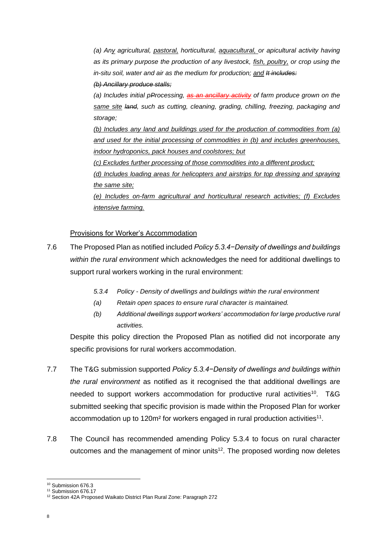*(a) Any agricultural, pastoral, horticultural, aquacultural, or apicultural activity having as its primary purpose the production of any livestock, fish, poultry, or crop using the in-situ soil, water and air as the medium for production; and It includes:* 

#### *(b) Ancillary produce stalls;*

*(a) Includes initial pProcessing, as an ancillary activity of farm produce grown on the same site land, such as cutting, cleaning, grading, chilling, freezing, packaging and storage;* 

*(b) Includes any land and buildings used for the production of commodities from (a) and used for the initial processing of commodities in (b) and includes greenhouses, indoor hydroponics, pack houses and coolstores; but* 

*(c) Excludes further processing of those commodities into a different product;* 

*(d) Includes loading areas for helicopters and airstrips for top dressing and spraying the same site;* 

*(e) Includes on-farm agricultural and horticultural research activities; (f) Excludes intensive farming.* 

#### Provisions for Worker's Accommodation

- 7.6 The Proposed Plan as notified included *Policy 5.3.4−Density of dwellings and buildings within the rural environment* which acknowledges the need for additional dwellings to support rural workers working in the rural environment:
	- *5.3.4 Policy - Density of dwellings and buildings within the rural environment*
	- *(a) Retain open spaces to ensure rural character is maintained.*
	- *(b) Additional dwellings support workers' accommodation for large productive rural activities.*

Despite this policy direction the Proposed Plan as notified did not incorporate any specific provisions for rural workers accommodation.

- 7.7 The T&G submission supported *Policy 5.3.4−Density of dwellings and buildings within the rural environment* as notified as it recognised the that additional dwellings are needed to support workers accommodation for productive rural activities<sup>10</sup>. T&G submitted seeking that specific provision is made within the Proposed Plan for worker accommodation up to 120m<sup>2</sup> for workers engaged in rural production activities<sup>11</sup>.
- 7.8 The Council has recommended amending Policy 5.3.4 to focus on rural character outcomes and the management of minor units<sup>12</sup>. The proposed wording now deletes

<sup>&</sup>lt;sup>10</sup> Submission 676.3

<sup>&</sup>lt;sup>11</sup> Submission 676.17

<sup>12</sup> Section 42A Proposed Waikato District Plan Rural Zone: Paragraph 272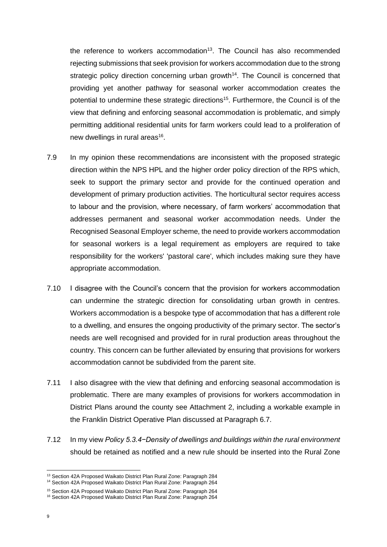the reference to workers accommodation<sup>13</sup>. The Council has also recommended rejecting submissions that seek provision for workers accommodation due to the strong strategic policy direction concerning urban growth<sup>14</sup>. The Council is concerned that providing yet another pathway for seasonal worker accommodation creates the potential to undermine these strategic directions<sup>15</sup>. Furthermore, the Council is of the view that defining and enforcing seasonal accommodation is problematic, and simply permitting additional residential units for farm workers could lead to a proliferation of new dwellings in rural areas<sup>16</sup>.

- 7.9 In my opinion these recommendations are inconsistent with the proposed strategic direction within the NPS HPL and the higher order policy direction of the RPS which, seek to support the primary sector and provide for the continued operation and development of primary production activities. The horticultural sector requires access to labour and the provision, where necessary, of farm workers' accommodation that addresses permanent and seasonal worker accommodation needs. Under the Recognised Seasonal Employer scheme, the need to provide workers accommodation for seasonal workers is a legal requirement as employers are required to take responsibility for the workers' 'pastoral care', which includes making sure they have appropriate accommodation.
- 7.10 I disagree with the Council's concern that the provision for workers accommodation can undermine the strategic direction for consolidating urban growth in centres. Workers accommodation is a bespoke type of accommodation that has a different role to a dwelling, and ensures the ongoing productivity of the primary sector. The sector's needs are well recognised and provided for in rural production areas throughout the country. This concern can be further alleviated by ensuring that provisions for workers accommodation cannot be subdivided from the parent site.
- 7.11 I also disagree with the view that defining and enforcing seasonal accommodation is problematic. There are many examples of provisions for workers accommodation in District Plans around the county see Attachment 2, including a workable example in the Franklin District Operative Plan discussed at Paragraph 6.7.
- 7.12 In my view *Policy 5.3.4−Density of dwellings and buildings within the rural environment* should be retained as notified and a new rule should be inserted into the Rural Zone

<sup>13</sup> Section 42A Proposed Waikato District Plan Rural Zone: Paragraph 284

<sup>14</sup> Section 42A Proposed Waikato District Plan Rural Zone: Paragraph 264

<sup>15</sup> Section 42A Proposed Waikato District Plan Rural Zone: Paragraph 264

<sup>16</sup> Section 42A Proposed Waikato District Plan Rural Zone: Paragraph 264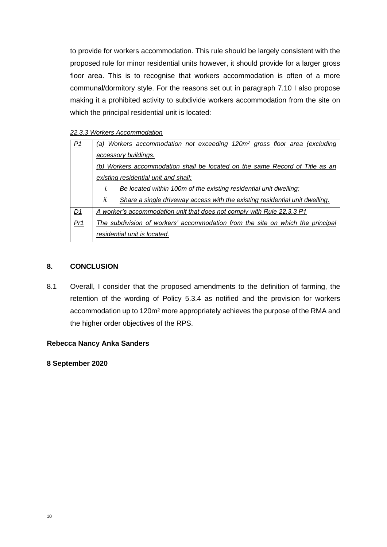to provide for workers accommodation. This rule should be largely consistent with the proposed rule for minor residential units however, it should provide for a larger gross floor area. This is to recognise that workers accommodation is often of a more communal/dormitory style. For the reasons set out in paragraph 7.10 I also propose making it a prohibited activity to subdivide workers accommodation from the site on which the principal residential unit is located:

#### *22.3.3 Workers Accommodation*

| P <sub>1</sub>  | Workers accommodation not exceeding 120m <sup>2</sup> gross floor area (excluding<br>(a) |
|-----------------|------------------------------------------------------------------------------------------|
|                 | accessory buildings.                                                                     |
|                 | (b) Workers accommodation shall be located on the same Record of Title as an             |
|                 | existing residential unit and shall:                                                     |
|                 | Be located within 100m of the existing residential unit dwelling;<br>I.                  |
|                 | ii.<br>Share a single driveway access with the existing residential unit dwelling.       |
| D1              | A worker's accommodation unit that does not comply with Rule 22.3.3 P1                   |
| Pr <sub>1</sub> | The subdivision of workers' accommodation from the site on which the principal           |
|                 | residential unit is located.                                                             |

## **8. CONCLUSION**

8.1 Overall, I consider that the proposed amendments to the definition of farming, the retention of the wording of Policy 5.3.4 as notified and the provision for workers accommodation up to 120m² more appropriately achieves the purpose of the RMA and the higher order objectives of the RPS.

## **Rebecca Nancy Anka Sanders**

**8 September 2020**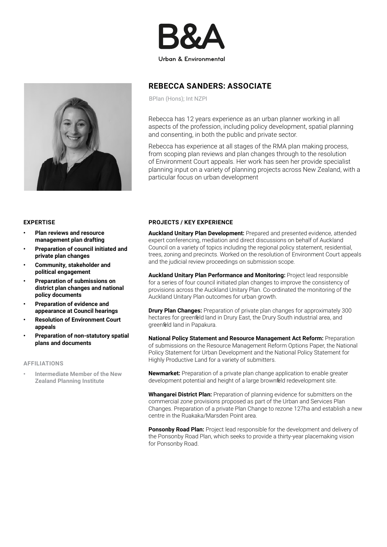



## REBECCA SANDERS: ASSOCIATE

BPlan (Hons); Int NZPI

Rebecca has 12 years experience as an urban planner working in all aspects of the profession, including policy development, spatial planning and consenting, in both the public and private sector.

Rebecca has experience at all stages of the RMA plan making process, from scoping plan reviews and plan changes through to the resolution of Environment Court appeals. Her work has seen her provide specialist planning input on a variety of planning projects across New Zealand, with a particular focus on urban development

#### EXPERTISE

- Plan reviews and resource management plan drafting
- Preparation of council initiated and private plan changes
- Community, stakeholder and political engagement
- Preparation of submissions on district plan changes and national policy documents
- Preparation of evidence and appearance at Council hearings
- Resolution of Environment Court appeals
- Preparation of non-statutory spatial plans and documents

#### AFFILIATIONS

• Intermediate Member of the New Zealand Planning Institute

#### PROJECTS / KEY EXPERIENCE

Auckland Unitary Plan Development: Prepared and presented evidence, attended expert conferencing, mediation and direct discussions on behalf of Auckland Council on a variety of topics including the regional policy statement, residential, trees, zoning and precincts. Worked on the resolution of Environment Court appeals and the judicial review proceedings on submission scope.

Auckland Unitary Plan Performance and Monitoring: Project lead responsible for a series of four council initiated plan changes to improve the consistency of provisions across the Auckland Unitary Plan. Co-ordinated the monitoring of the Auckland Unitary Plan outcomes for urban growth.

**Drury Plan Changes:** Preparation of private plan changes for approximately 300 hectares for greenfield land in Drury East, the Drury South industrial area, and greenfield land in Papakura.

National Policy Statement and Resource Management Act Reform: Preparation of submissions on the Resource Management Reform Options Paper, the National Policy Statement for Urban Development and the National Policy Statement for Highly Productive Land for a variety of submitters.

Newmarket: Preparation of a private plan change application to enable greater development potential and height of a large brownfield redevelopment site.

Whangarei District Plan: Preparation of planning evidence for submitters on the commercial zone provisions proposed as part of the Urban and Services Plan Changes. Preparation of a private Plan Change to rezone 127ha and establish a new centre in the Ruakaka/Marsden Point area.

Ponsonby Road Plan: Project lead responsible for the development and delivery of the Ponsonby Road Plan, which seeks to provide a thirty-year placemaking vision for Ponsonby Road.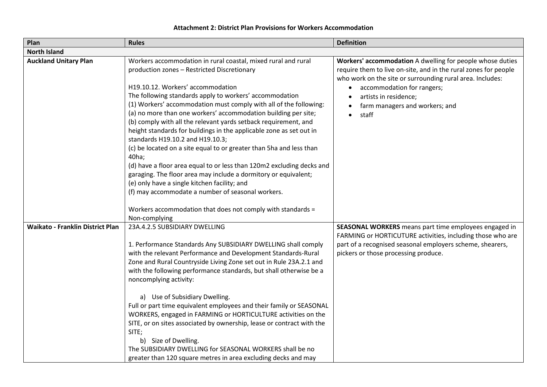| Plan                                    | <b>Rules</b>                                                                                                                                                                                                                                                                                                                                                                                                                                                                                                                                                                                                                                                                                                                                                                                                                                                                                                                                       | <b>Definition</b>                                                                                                                                                                                                                                                                                        |  |  |
|-----------------------------------------|----------------------------------------------------------------------------------------------------------------------------------------------------------------------------------------------------------------------------------------------------------------------------------------------------------------------------------------------------------------------------------------------------------------------------------------------------------------------------------------------------------------------------------------------------------------------------------------------------------------------------------------------------------------------------------------------------------------------------------------------------------------------------------------------------------------------------------------------------------------------------------------------------------------------------------------------------|----------------------------------------------------------------------------------------------------------------------------------------------------------------------------------------------------------------------------------------------------------------------------------------------------------|--|--|
| <b>North Island</b>                     |                                                                                                                                                                                                                                                                                                                                                                                                                                                                                                                                                                                                                                                                                                                                                                                                                                                                                                                                                    |                                                                                                                                                                                                                                                                                                          |  |  |
| <b>Auckland Unitary Plan</b>            | Workers accommodation in rural coastal, mixed rural and rural<br>production zones - Restricted Discretionary<br>H19.10.12. Workers' accommodation<br>The following standards apply to workers' accommodation<br>(1) Workers' accommodation must comply with all of the following:<br>(a) no more than one workers' accommodation building per site;<br>(b) comply with all the relevant yards setback requirement, and<br>height standards for buildings in the applicable zone as set out in<br>standards H19.10.2 and H19.10.3;<br>(c) be located on a site equal to or greater than 5ha and less than<br>40ha;<br>(d) have a floor area equal to or less than 120m2 excluding decks and<br>garaging. The floor area may include a dormitory or equivalent;<br>(e) only have a single kitchen facility; and<br>(f) may accommodate a number of seasonal workers.<br>Workers accommodation that does not comply with standards =<br>Non-complying | Workers' accommodation A dwelling for people whose duties<br>require them to live on-site, and in the rural zones for people<br>who work on the site or surrounding rural area. Includes:<br>accommodation for rangers;<br>$\bullet$<br>artists in residence;<br>farm managers and workers; and<br>staff |  |  |
| <b>Waikato - Franklin District Plan</b> | 23A.4.2.5 SUBSIDIARY DWELLING<br>1. Performance Standards Any SUBSIDIARY DWELLING shall comply<br>with the relevant Performance and Development Standards-Rural<br>Zone and Rural Countryside Living Zone set out in Rule 23A.2.1 and<br>with the following performance standards, but shall otherwise be a<br>noncomplying activity:<br>a) Use of Subsidiary Dwelling.<br>Full or part time equivalent employees and their family or SEASONAL<br>WORKERS, engaged in FARMING or HORTICULTURE activities on the<br>SITE, or on sites associated by ownership, lease or contract with the<br>SITE;<br>b) Size of Dwelling.<br>The SUBSIDIARY DWELLING for SEASONAL WORKERS shall be no<br>greater than 120 square metres in area excluding decks and may                                                                                                                                                                                            | SEASONAL WORKERS means part time employees engaged in<br>FARMING or HORTICUTURE activities, including those who are<br>part of a recognised seasonal employers scheme, shearers,<br>pickers or those processing produce.                                                                                 |  |  |

## **Attachment 2: District Plan Provisions for Workers Accommodation**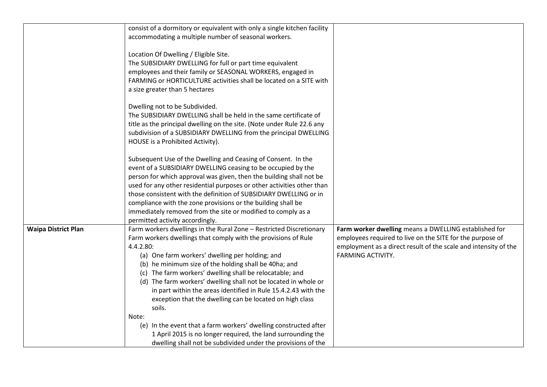|                            | consist of a dormitory or equivalent with only a single kitchen facility                                                                                                                                                                                                                                                                                                                                                                                                                                                              |                                                                                                                                                                                                                   |
|----------------------------|---------------------------------------------------------------------------------------------------------------------------------------------------------------------------------------------------------------------------------------------------------------------------------------------------------------------------------------------------------------------------------------------------------------------------------------------------------------------------------------------------------------------------------------|-------------------------------------------------------------------------------------------------------------------------------------------------------------------------------------------------------------------|
|                            | accommodating a multiple number of seasonal workers.                                                                                                                                                                                                                                                                                                                                                                                                                                                                                  |                                                                                                                                                                                                                   |
|                            | Location Of Dwelling / Eligible Site.<br>The SUBSIDIARY DWELLING for full or part time equivalent<br>employees and their family or SEASONAL WORKERS, engaged in<br>FARMING or HORTICULTURE activities shall be located on a SITE with<br>a size greater than 5 hectares                                                                                                                                                                                                                                                               |                                                                                                                                                                                                                   |
|                            | Dwelling not to be Subdivided.<br>The SUBSIDIARY DWELLING shall be held in the same certificate of<br>title as the principal dwelling on the site. (Note under Rule 22.6 any<br>subdivision of a SUBSIDIARY DWELLING from the principal DWELLING<br>HOUSE is a Prohibited Activity).                                                                                                                                                                                                                                                  |                                                                                                                                                                                                                   |
|                            | Subsequent Use of the Dwelling and Ceasing of Consent. In the<br>event of a SUBSIDIARY DWELLING ceasing to be occupied by the<br>person for which approval was given, then the building shall not be<br>used for any other residential purposes or other activities other than<br>those consistent with the definition of SUBSIDIARY DWELLING or in<br>compliance with the zone provisions or the building shall be<br>immediately removed from the site or modified to comply as a<br>permitted activity accordingly.                |                                                                                                                                                                                                                   |
| <b>Waipa District Plan</b> | Farm workers dwellings in the Rural Zone - Restricted Discretionary<br>Farm workers dwellings that comply with the provisions of Rule<br>4.4.2.80:<br>(a) One farm workers' dwelling per holding; and<br>(b) he minimum size of the holding shall be 40ha; and<br>(c) The farm workers' dwelling shall be relocatable; and<br>(d) The farm workers' dwelling shall not be located in whole or<br>in part within the areas identified in Rule 15.4.2.43 with the<br>exception that the dwelling can be located on high class<br>soils. | Farm worker dwelling means a DWELLING established for<br>employees required to live on the SITE for the purpose of<br>employment as a direct result of the scale and intensity of the<br><b>FARMING ACTIVITY.</b> |
|                            | Note:<br>(e) In the event that a farm workers' dwelling constructed after<br>1 April 2015 is no longer required, the land surrounding the<br>dwelling shall not be subdivided under the provisions of the                                                                                                                                                                                                                                                                                                                             |                                                                                                                                                                                                                   |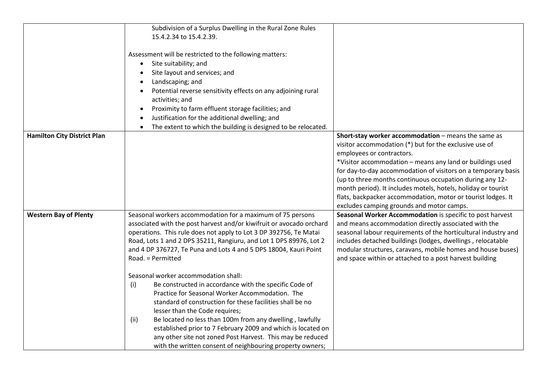|                                    | Subdivision of a Surplus Dwelling in the Rural Zone Rules            |                                                                |
|------------------------------------|----------------------------------------------------------------------|----------------------------------------------------------------|
|                                    | 15.4.2.34 to 15.4.2.39.                                              |                                                                |
|                                    |                                                                      |                                                                |
|                                    | Assessment will be restricted to the following matters:              |                                                                |
|                                    | Site suitability; and                                                |                                                                |
|                                    |                                                                      |                                                                |
|                                    | Site layout and services; and                                        |                                                                |
|                                    | Landscaping; and                                                     |                                                                |
|                                    | Potential reverse sensitivity effects on any adjoining rural         |                                                                |
|                                    | activities; and                                                      |                                                                |
|                                    | Proximity to farm effluent storage facilities; and<br>$\bullet$      |                                                                |
|                                    | Justification for the additional dwelling; and                       |                                                                |
|                                    | The extent to which the building is designed to be relocated.        |                                                                |
| <b>Hamilton City District Plan</b> |                                                                      | Short-stay worker accommodation - means the same as            |
|                                    |                                                                      | visitor accommodation (*) but for the exclusive use of         |
|                                    |                                                                      | employees or contractors.                                      |
|                                    |                                                                      | *Visitor accommodation - means any land or buildings used      |
|                                    |                                                                      | for day-to-day accommodation of visitors on a temporary basis  |
|                                    |                                                                      | (up to three months continuous occupation during any 12-       |
|                                    |                                                                      | month period). It includes motels, hotels, holiday or tourist  |
|                                    |                                                                      |                                                                |
|                                    |                                                                      | flats, backpacker accommodation, motor or tourist lodges. It   |
|                                    |                                                                      | excludes camping grounds and motor camps.                      |
| <b>Western Bay of Plenty</b>       | Seasonal workers accommodation for a maximum of 75 persons           | Seasonal Worker Accommodation is specific to post harvest      |
|                                    | associated with the post harvest and/or kiwifruit or avocado orchard | and means accommodation directly associated with the           |
|                                    | operations. This rule does not apply to Lot 3 DP 392756, Te Matai    | seasonal labour requirements of the horticultural industry and |
|                                    | Road, Lots 1 and 2 DPS 35211, Rangiuru, and Lot 1 DPS 89976, Lot 2   | includes detached buildings (lodges, dwellings, relocatable    |
|                                    | and 4 DP 376727, Te Puna and Lots 4 and 5 DPS 18004, Kauri Point     | modular structures, caravans, mobile homes and house buses)    |
|                                    | Road. = Permitted                                                    | and space within or attached to a post harvest building        |
|                                    | Seasonal worker accommodation shall:                                 |                                                                |
|                                    | Be constructed in accordance with the specific Code of               |                                                                |
|                                    | (i)                                                                  |                                                                |
|                                    | Practice for Seasonal Worker Accommodation. The                      |                                                                |
|                                    | standard of construction for these facilities shall be no            |                                                                |
|                                    | lesser than the Code requires;                                       |                                                                |
|                                    | (ii)<br>Be located no less than 100m from any dwelling, lawfully     |                                                                |
|                                    | established prior to 7 February 2009 and which is located on         |                                                                |
|                                    | any other site not zoned Post Harvest. This may be reduced           |                                                                |
|                                    | with the written consent of neighbouring property owners;            |                                                                |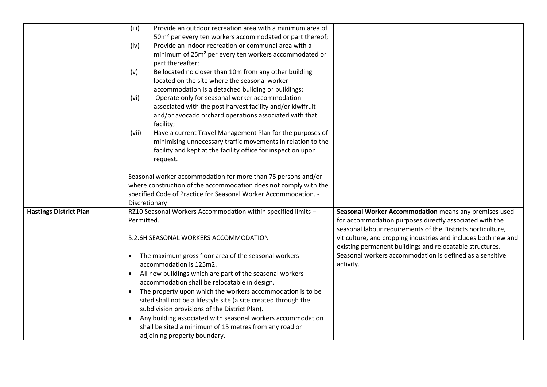|                               | (iii)<br>Provide an outdoor recreation area with a minimum area of       |                                                                |
|-------------------------------|--------------------------------------------------------------------------|----------------------------------------------------------------|
|                               | 50m <sup>2</sup> per every ten workers accommodated or part thereof;     |                                                                |
|                               |                                                                          |                                                                |
|                               | Provide an indoor recreation or communal area with a<br>(iv)             |                                                                |
|                               | minimum of 25m <sup>2</sup> per every ten workers accommodated or        |                                                                |
|                               | part thereafter;                                                         |                                                                |
|                               | Be located no closer than 10m from any other building<br>(v)             |                                                                |
|                               | located on the site where the seasonal worker                            |                                                                |
|                               | accommodation is a detached building or buildings;                       |                                                                |
|                               | Operate only for seasonal worker accommodation<br>(vi)                   |                                                                |
|                               | associated with the post harvest facility and/or kiwifruit               |                                                                |
|                               | and/or avocado orchard operations associated with that                   |                                                                |
|                               | facility;                                                                |                                                                |
|                               | Have a current Travel Management Plan for the purposes of<br>(vii)       |                                                                |
|                               | minimising unnecessary traffic movements in relation to the              |                                                                |
|                               | facility and kept at the facility office for inspection upon             |                                                                |
|                               | request.                                                                 |                                                                |
|                               |                                                                          |                                                                |
|                               | Seasonal worker accommodation for more than 75 persons and/or            |                                                                |
|                               | where construction of the accommodation does not comply with the         |                                                                |
|                               | specified Code of Practice for Seasonal Worker Accommodation. -          |                                                                |
|                               | Discretionary                                                            |                                                                |
| <b>Hastings District Plan</b> | RZ10 Seasonal Workers Accommodation within specified limits -            | Seasonal Worker Accommodation means any premises used          |
|                               | Permitted.                                                               | for accommodation purposes directly associated with the        |
|                               |                                                                          | seasonal labour requirements of the Districts horticulture,    |
|                               | 5.2.6H SEASONAL WORKERS ACCOMMODATION                                    | viticulture, and cropping industries and includes both new and |
|                               |                                                                          | existing permanent buildings and relocatable structures.       |
|                               | The maximum gross floor area of the seasonal workers<br>$\bullet$        | Seasonal workers accommodation is defined as a sensitive       |
|                               | accommodation is 125m2.                                                  | activity.                                                      |
|                               | All new buildings which are part of the seasonal workers                 |                                                                |
|                               | accommodation shall be relocatable in design.                            |                                                                |
|                               |                                                                          |                                                                |
|                               | The property upon which the workers accommodation is to be<br>$\bullet$  |                                                                |
|                               | sited shall not be a lifestyle site (a site created through the          |                                                                |
|                               | subdivision provisions of the District Plan).                            |                                                                |
|                               | Any building associated with seasonal workers accommodation<br>$\bullet$ |                                                                |
|                               | shall be sited a minimum of 15 metres from any road or                   |                                                                |
|                               | adjoining property boundary.                                             |                                                                |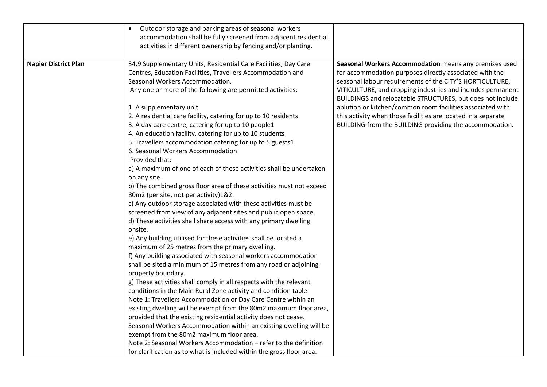|                             | Outdoor storage and parking areas of seasonal workers<br>accommodation shall be fully screened from adjacent residential<br>activities in different ownership by fencing and/or planting.                                                                                                                                                                                                                                                                                                                                                                                                                                                                                                                                                                                                                                                                                                                                                                                                                                                                                                                                                                                                                                                                     |                                                                                                                                                                                                                                                                                                                                                                                                                                                                                                      |
|-----------------------------|---------------------------------------------------------------------------------------------------------------------------------------------------------------------------------------------------------------------------------------------------------------------------------------------------------------------------------------------------------------------------------------------------------------------------------------------------------------------------------------------------------------------------------------------------------------------------------------------------------------------------------------------------------------------------------------------------------------------------------------------------------------------------------------------------------------------------------------------------------------------------------------------------------------------------------------------------------------------------------------------------------------------------------------------------------------------------------------------------------------------------------------------------------------------------------------------------------------------------------------------------------------|------------------------------------------------------------------------------------------------------------------------------------------------------------------------------------------------------------------------------------------------------------------------------------------------------------------------------------------------------------------------------------------------------------------------------------------------------------------------------------------------------|
| <b>Napier District Plan</b> | 34.9 Supplementary Units, Residential Care Facilities, Day Care<br>Centres, Education Facilities, Travellers Accommodation and<br>Seasonal Workers Accommodation.<br>Any one or more of the following are permitted activities:<br>1. A supplementary unit<br>2. A residential care facility, catering for up to 10 residents<br>3. A day care centre, catering for up to 10 people1<br>4. An education facility, catering for up to 10 students<br>5. Travellers accommodation catering for up to 5 guests1<br>6. Seasonal Workers Accommodation<br>Provided that:<br>a) A maximum of one of each of these activities shall be undertaken<br>on any site.<br>b) The combined gross floor area of these activities must not exceed<br>80m2 (per site, not per activity)1&2.<br>c) Any outdoor storage associated with these activities must be<br>screened from view of any adjacent sites and public open space.<br>d) These activities shall share access with any primary dwelling<br>onsite.<br>e) Any building utilised for these activities shall be located a<br>maximum of 25 metres from the primary dwelling.<br>f) Any building associated with seasonal workers accommodation<br>shall be sited a minimum of 15 metres from any road or adjoining | Seasonal Workers Accommodation means any premises used<br>for accommodation purposes directly associated with the<br>seasonal labour requirements of the CITY'S HORTICULTURE,<br>VITICULTURE, and cropping industries and includes permanent<br>BUILDINGS and relocatable STRUCTURES, but does not include<br>ablution or kitchen/common room facilities associated with<br>this activity when those facilities are located in a separate<br>BUILDING from the BUILDING providing the accommodation. |
|                             | property boundary.<br>g) These activities shall comply in all respects with the relevant<br>conditions in the Main Rural Zone activity and condition table<br>Note 1: Travellers Accommodation or Day Care Centre within an<br>existing dwelling will be exempt from the 80m2 maximum floor area,<br>provided that the existing residential activity does not cease.<br>Seasonal Workers Accommodation within an existing dwelling will be<br>exempt from the 80m2 maximum floor area.<br>Note 2: Seasonal Workers Accommodation - refer to the definition<br>for clarification as to what is included within the gross floor area.                                                                                                                                                                                                                                                                                                                                                                                                                                                                                                                                                                                                                           |                                                                                                                                                                                                                                                                                                                                                                                                                                                                                                      |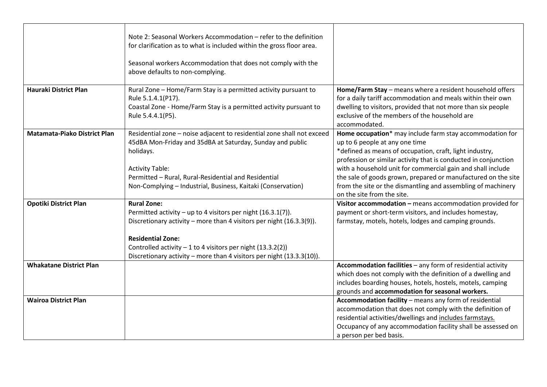|                                     | Note 2: Seasonal Workers Accommodation - refer to the definition<br>for clarification as to what is included within the gross floor area.<br>Seasonal workers Accommodation that does not comply with the<br>above defaults to non-complying.                                                                                   |                                                                                                                                                                                                                                                                                                                                                                                                                                                        |
|-------------------------------------|---------------------------------------------------------------------------------------------------------------------------------------------------------------------------------------------------------------------------------------------------------------------------------------------------------------------------------|--------------------------------------------------------------------------------------------------------------------------------------------------------------------------------------------------------------------------------------------------------------------------------------------------------------------------------------------------------------------------------------------------------------------------------------------------------|
| <b>Hauraki District Plan</b>        | Rural Zone - Home/Farm Stay is a permitted activity pursuant to<br>Rule 5.1.4.1(P17).<br>Coastal Zone - Home/Farm Stay is a permitted activity pursuant to<br>Rule 5.4.4.1(P5).                                                                                                                                                 | Home/Farm Stay - means where a resident household offers<br>for a daily tariff accommodation and meals within their own<br>dwelling to visitors, provided that not more than six people<br>exclusive of the members of the household are<br>accommodated.                                                                                                                                                                                              |
| <b>Matamata-Piako District Plan</b> | Residential zone - noise adjacent to residential zone shall not exceed<br>45dBA Mon-Friday and 35dBA at Saturday, Sunday and public<br>holidays.<br><b>Activity Table:</b><br>Permitted - Rural, Rural-Residential and Residential<br>Non-Complying - Industrial, Business, Kaitaki (Conservation)                              | Home occupation* may include farm stay accommodation for<br>up to 6 people at any one time<br>*defined as means of occupation, craft, light industry,<br>profession or similar activity that is conducted in conjunction<br>with a household unit for commercial gain and shall include<br>the sale of goods grown, prepared or manufactured on the site<br>from the site or the dismantling and assembling of machinery<br>on the site from the site. |
| <b>Opotiki District Plan</b>        | <b>Rural Zone:</b><br>Permitted activity - up to 4 visitors per night (16.3.1(7)).<br>Discretionary activity - more than 4 visitors per night (16.3.3(9)).<br><b>Residential Zone:</b><br>Controlled activity $-1$ to 4 visitors per night (13.3.2(2))<br>Discretionary activity - more than 4 visitors per night (13.3.3(10)). | Visitor accommodation - means accommodation provided for<br>payment or short-term visitors, and includes homestay,<br>farmstay, motels, hotels, lodges and camping grounds.                                                                                                                                                                                                                                                                            |
| <b>Whakatane District Plan</b>      |                                                                                                                                                                                                                                                                                                                                 | Accommodation facilities - any form of residential activity<br>which does not comply with the definition of a dwelling and<br>includes boarding houses, hotels, hostels, motels, camping<br>grounds and accommodation for seasonal workers.                                                                                                                                                                                                            |
| <b>Wairoa District Plan</b>         |                                                                                                                                                                                                                                                                                                                                 | Accommodation facility - means any form of residential<br>accommodation that does not comply with the definition of<br>residential activities/dwellings and includes farmstays.<br>Occupancy of any accommodation facility shall be assessed on<br>a person per bed basis.                                                                                                                                                                             |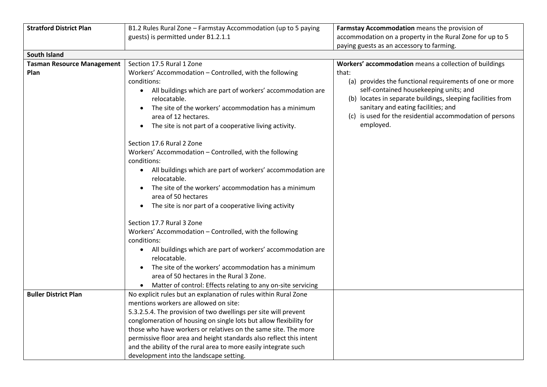| <b>Stratford District Plan</b>    | B1.2 Rules Rural Zone - Farmstay Accommodation (up to 5 paying                                                                                                                                                                      | Farmstay Accommodation means the provision of                                                                                                                                                                                                                                    |
|-----------------------------------|-------------------------------------------------------------------------------------------------------------------------------------------------------------------------------------------------------------------------------------|----------------------------------------------------------------------------------------------------------------------------------------------------------------------------------------------------------------------------------------------------------------------------------|
|                                   | guests) is permitted under B1.2.1.1                                                                                                                                                                                                 | accommodation on a property in the Rural Zone for up to 5                                                                                                                                                                                                                        |
|                                   |                                                                                                                                                                                                                                     | paying guests as an accessory to farming.                                                                                                                                                                                                                                        |
| South Island                      |                                                                                                                                                                                                                                     |                                                                                                                                                                                                                                                                                  |
| <b>Tasman Resource Management</b> | Section 17.5 Rural 1 Zone                                                                                                                                                                                                           | Workers' accommodation means a collection of buildings                                                                                                                                                                                                                           |
| Plan                              | Workers' Accommodation - Controlled, with the following                                                                                                                                                                             | that:                                                                                                                                                                                                                                                                            |
|                                   | conditions:<br>All buildings which are part of workers' accommodation are<br>relocatable.<br>The site of the workers' accommodation has a minimum<br>area of 12 hectares.<br>The site is not part of a cooperative living activity. | (a) provides the functional requirements of one or more<br>self-contained housekeeping units; and<br>(b) locates in separate buildings, sleeping facilities from<br>sanitary and eating facilities; and<br>(c) is used for the residential accommodation of persons<br>employed. |
|                                   | Section 17.6 Rural 2 Zone<br>Workers' Accommodation - Controlled, with the following<br>conditions:                                                                                                                                 |                                                                                                                                                                                                                                                                                  |
|                                   | All buildings which are part of workers' accommodation are<br>$\bullet$<br>relocatable.<br>The site of the workers' accommodation has a minimum                                                                                     |                                                                                                                                                                                                                                                                                  |
|                                   | area of 50 hectares<br>The site is nor part of a cooperative living activity<br>$\bullet$                                                                                                                                           |                                                                                                                                                                                                                                                                                  |
|                                   |                                                                                                                                                                                                                                     |                                                                                                                                                                                                                                                                                  |
|                                   | Section 17.7 Rural 3 Zone                                                                                                                                                                                                           |                                                                                                                                                                                                                                                                                  |
|                                   | Workers' Accommodation - Controlled, with the following                                                                                                                                                                             |                                                                                                                                                                                                                                                                                  |
|                                   | conditions:                                                                                                                                                                                                                         |                                                                                                                                                                                                                                                                                  |
|                                   | All buildings which are part of workers' accommodation are<br>$\bullet$<br>relocatable.                                                                                                                                             |                                                                                                                                                                                                                                                                                  |
|                                   | The site of the workers' accommodation has a minimum<br>$\bullet$                                                                                                                                                                   |                                                                                                                                                                                                                                                                                  |
|                                   | area of 50 hectares in the Rural 3 Zone.                                                                                                                                                                                            |                                                                                                                                                                                                                                                                                  |
|                                   | Matter of control: Effects relating to any on-site servicing<br>$\bullet$                                                                                                                                                           |                                                                                                                                                                                                                                                                                  |
| <b>Buller District Plan</b>       | No explicit rules but an explanation of rules within Rural Zone                                                                                                                                                                     |                                                                                                                                                                                                                                                                                  |
|                                   | mentions workers are allowed on site:                                                                                                                                                                                               |                                                                                                                                                                                                                                                                                  |
|                                   | 5.3.2.5.4. The provision of two dwellings per site will prevent                                                                                                                                                                     |                                                                                                                                                                                                                                                                                  |
|                                   | conglomeration of housing on single lots but allow flexibility for<br>those who have workers or relatives on the same site. The more                                                                                                |                                                                                                                                                                                                                                                                                  |
|                                   | permissive floor area and height standards also reflect this intent                                                                                                                                                                 |                                                                                                                                                                                                                                                                                  |
|                                   | and the ability of the rural area to more easily integrate such                                                                                                                                                                     |                                                                                                                                                                                                                                                                                  |
|                                   | development into the landscape setting.                                                                                                                                                                                             |                                                                                                                                                                                                                                                                                  |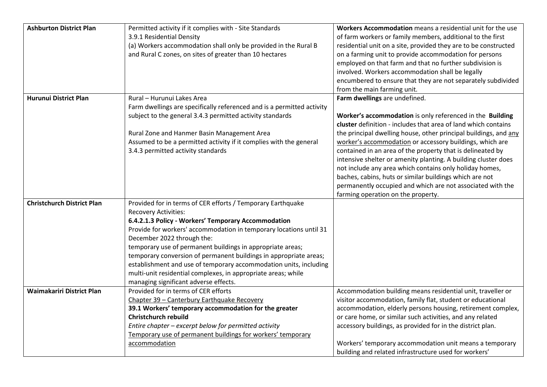| <b>Ashburton District Plan</b>    | Permitted activity if it complies with - Site Standards                | Workers Accommodation means a residential unit for the use       |
|-----------------------------------|------------------------------------------------------------------------|------------------------------------------------------------------|
|                                   | 3.9.1 Residential Density                                              | of farm workers or family members, additional to the first       |
|                                   | (a) Workers accommodation shall only be provided in the Rural B        | residential unit on a site, provided they are to be constructed  |
|                                   | and Rural C zones, on sites of greater than 10 hectares                | on a farming unit to provide accommodation for persons           |
|                                   |                                                                        | employed on that farm and that no further subdivision is         |
|                                   |                                                                        | involved. Workers accommodation shall be legally                 |
|                                   |                                                                        | encumbered to ensure that they are not separately subdivided     |
|                                   |                                                                        | from the main farming unit.                                      |
| <b>Hurunui District Plan</b>      | Rural - Hurunui Lakes Area                                             | Farm dwellings are undefined.                                    |
|                                   | Farm dwellings are specifically referenced and is a permitted activity |                                                                  |
|                                   | subject to the general 3.4.3 permitted activity standards              | Worker's accommodation is only referenced in the Building        |
|                                   |                                                                        | cluster definition - includes that area of land which contains   |
|                                   | Rural Zone and Hanmer Basin Management Area                            | the principal dwelling house, other principal buildings, and any |
|                                   | Assumed to be a permitted activity if it complies with the general     | worker's accommodation or accessory buildings, which are         |
|                                   | 3.4.3 permitted activity standards                                     | contained in an area of the property that is delineated by       |
|                                   |                                                                        | intensive shelter or amenity planting. A building cluster does   |
|                                   |                                                                        | not include any area which contains only holiday homes,          |
|                                   |                                                                        | baches, cabins, huts or similar buildings which are not          |
|                                   |                                                                        | permanently occupied and which are not associated with the       |
|                                   |                                                                        | farming operation on the property.                               |
| <b>Christchurch District Plan</b> | Provided for in terms of CER efforts / Temporary Earthquake            |                                                                  |
|                                   | <b>Recovery Activities:</b>                                            |                                                                  |
|                                   | 6.4.2.1.3 Policy - Workers' Temporary Accommodation                    |                                                                  |
|                                   | Provide for workers' accommodation in temporary locations until 31     |                                                                  |
|                                   | December 2022 through the:                                             |                                                                  |
|                                   | temporary use of permanent buildings in appropriate areas;             |                                                                  |
|                                   | temporary conversion of permanent buildings in appropriate areas;      |                                                                  |
|                                   | establishment and use of temporary accommodation units, including      |                                                                  |
|                                   | multi-unit residential complexes, in appropriate areas; while          |                                                                  |
|                                   | managing significant adverse effects.                                  |                                                                  |
| Waimakariri District Plan         | Provided for in terms of CER efforts                                   | Accommodation building means residential unit, traveller or      |
|                                   | Chapter 39 - Canterbury Earthquake Recovery                            | visitor accommodation, family flat, student or educational       |
|                                   | 39.1 Workers' temporary accommodation for the greater                  | accommodation, elderly persons housing, retirement complex,      |
|                                   | <b>Christchurch rebuild</b>                                            | or care home, or similar such activities, and any related        |
|                                   | Entire chapter - excerpt below for permitted activity                  | accessory buildings, as provided for in the district plan.       |
|                                   | Temporary use of permanent buildings for workers' temporary            |                                                                  |
|                                   | accommodation                                                          | Workers' temporary accommodation unit means a temporary          |
|                                   |                                                                        | building and related infrastructure used for workers'            |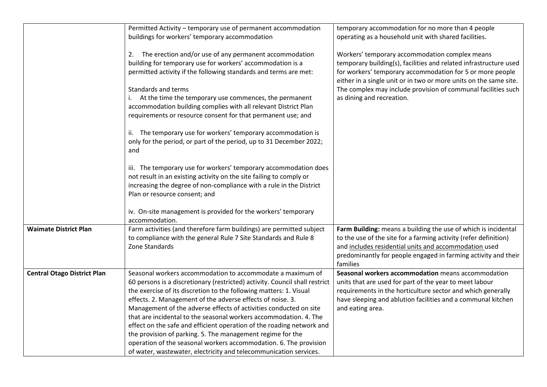|                                    | Permitted Activity - temporary use of permanent accommodation<br>buildings for workers' temporary accommodation                                                                                                                                                                                                                                                                                                                                                                                                                                                                                                                                                                                          | temporary accommodation for no more than 4 people<br>operating as a household unit with shared facilities.                                                                                                                                                                |
|------------------------------------|----------------------------------------------------------------------------------------------------------------------------------------------------------------------------------------------------------------------------------------------------------------------------------------------------------------------------------------------------------------------------------------------------------------------------------------------------------------------------------------------------------------------------------------------------------------------------------------------------------------------------------------------------------------------------------------------------------|---------------------------------------------------------------------------------------------------------------------------------------------------------------------------------------------------------------------------------------------------------------------------|
|                                    | The erection and/or use of any permanent accommodation<br>2.<br>building for temporary use for workers' accommodation is a<br>permitted activity if the following standards and terms are met:                                                                                                                                                                                                                                                                                                                                                                                                                                                                                                           | Workers' temporary accommodation complex means<br>temporary building(s), facilities and related infrastructure used<br>for workers' temporary accommodation for 5 or more people<br>either in a single unit or in two or more units on the same site.                     |
|                                    | Standards and terms<br>i. At the time the temporary use commences, the permanent<br>accommodation building complies with all relevant District Plan<br>requirements or resource consent for that permanent use; and                                                                                                                                                                                                                                                                                                                                                                                                                                                                                      | The complex may include provision of communal facilities such<br>as dining and recreation.                                                                                                                                                                                |
|                                    | ii. The temporary use for workers' temporary accommodation is<br>only for the period, or part of the period, up to 31 December 2022;<br>and                                                                                                                                                                                                                                                                                                                                                                                                                                                                                                                                                              |                                                                                                                                                                                                                                                                           |
|                                    | iii. The temporary use for workers' temporary accommodation does<br>not result in an existing activity on the site failing to comply or<br>increasing the degree of non-compliance with a rule in the District<br>Plan or resource consent; and                                                                                                                                                                                                                                                                                                                                                                                                                                                          |                                                                                                                                                                                                                                                                           |
|                                    | iv. On-site management is provided for the workers' temporary<br>accommodation.                                                                                                                                                                                                                                                                                                                                                                                                                                                                                                                                                                                                                          |                                                                                                                                                                                                                                                                           |
| <b>Waimate District Plan</b>       | Farm activities (and therefore farm buildings) are permitted subject<br>to compliance with the general Rule 7 Site Standards and Rule 8<br>Zone Standards                                                                                                                                                                                                                                                                                                                                                                                                                                                                                                                                                | Farm Building: means a building the use of which is incidental<br>to the use of the site for a farming activity (refer definition)<br>and includes residential units and accommodation used<br>predominantly for people engaged in farming activity and their<br>families |
| <b>Central Otago District Plan</b> | Seasonal workers accommodation to accommodate a maximum of<br>60 persons is a discretionary (restricted) activity. Council shall restrict<br>the exercise of its discretion to the following matters: 1. Visual<br>effects. 2. Management of the adverse effects of noise. 3.<br>Management of the adverse effects of activities conducted on site<br>that are incidental to the seasonal workers accommodation. 4. The<br>effect on the safe and efficient operation of the roading network and<br>the provision of parking. 5. The management regime for the<br>operation of the seasonal workers accommodation. 6. The provision<br>of water, wastewater, electricity and telecommunication services. | Seasonal workers accommodation means accommodation<br>units that are used for part of the year to meet labour<br>requirements in the horticulture sector and which generally<br>have sleeping and ablution facilities and a communal kitchen<br>and eating area.          |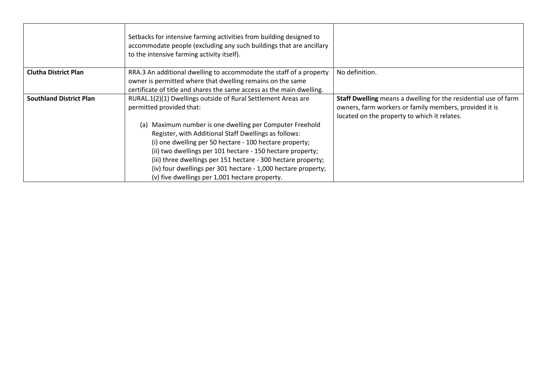|                                | Setbacks for intensive farming activities from building designed to<br>accommodate people (excluding any such buildings that are ancillary<br>to the intensive farming activity itself).                                                                                                                                                                                                                                          |                                                                                                                                                                           |
|--------------------------------|-----------------------------------------------------------------------------------------------------------------------------------------------------------------------------------------------------------------------------------------------------------------------------------------------------------------------------------------------------------------------------------------------------------------------------------|---------------------------------------------------------------------------------------------------------------------------------------------------------------------------|
| <b>Clutha District Plan</b>    | RRA.3 An additional dwelling to accommodate the staff of a property<br>owner is permitted where that dwelling remains on the same<br>certificate of title and shares the same access as the main dwelling.                                                                                                                                                                                                                        | No definition.                                                                                                                                                            |
| <b>Southland District Plan</b> | RURAL.1(2)(1) Dwellings outside of Rural Settlement Areas are<br>permitted provided that:                                                                                                                                                                                                                                                                                                                                         | Staff Dwelling means a dwelling for the residential use of farm<br>owners, farm workers or family members, provided it is<br>located on the property to which it relates. |
|                                | Maximum number is one dwelling per Computer Freehold<br>(a)<br>Register, with Additional Staff Dwellings as follows:<br>(i) one dwelling per 50 hectare - 100 hectare property;<br>(ii) two dwellings per 101 hectare - 150 hectare property;<br>(iii) three dwellings per 151 hectare - 300 hectare property;<br>(iv) four dwellings per 301 hectare - 1,000 hectare property;<br>(v) five dwellings per 1,001 hectare property. |                                                                                                                                                                           |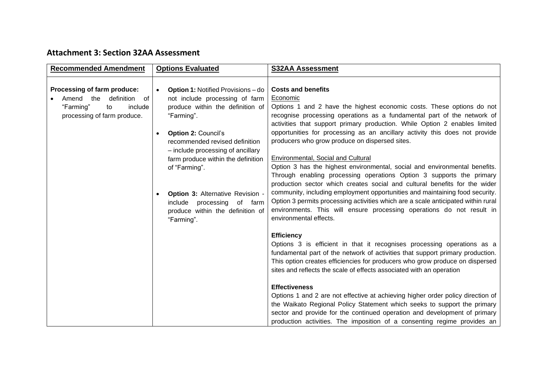# **Attachment 3: Section 32AA Assessment**

| <b>Recommended Amendment</b>                                                                                              | <b>Options Evaluated</b>                                                                                                                                                                                                                                   | <b>S32AA Assessment</b>                                                                                                                                                                                                                                                                                                                                                                                                                                                                                              |
|---------------------------------------------------------------------------------------------------------------------------|------------------------------------------------------------------------------------------------------------------------------------------------------------------------------------------------------------------------------------------------------------|----------------------------------------------------------------------------------------------------------------------------------------------------------------------------------------------------------------------------------------------------------------------------------------------------------------------------------------------------------------------------------------------------------------------------------------------------------------------------------------------------------------------|
| Processing of farm produce:<br>Amend<br>the<br>definition of<br>"Farming"<br>include<br>to<br>processing of farm produce. | <b>Option 1: Notified Provisions - do</b><br>$\bullet$<br>not include processing of farm<br>produce within the definition of<br>"Farming".<br><b>Option 2: Council's</b><br>$\bullet$                                                                      | <b>Costs and benefits</b><br>Economic<br>Options 1 and 2 have the highest economic costs. These options do not<br>recognise processing operations as a fundamental part of the network of<br>activities that support primary production. While Option 2 enables limited<br>opportunities for processing as an ancillary activity this does not provide<br>producers who grow produce on dispersed sites.                                                                                                             |
|                                                                                                                           | recommended revised definition<br>- include processing of ancillary<br>farm produce within the definition<br>of "Farming".<br><b>Option 3: Alternative Revision -</b><br>$\bullet$<br>include<br>processing<br>of farm<br>produce within the definition of | Environmental, Social and Cultural<br>Option 3 has the highest environmental, social and environmental benefits.<br>Through enabling processing operations Option 3 supports the primary<br>production sector which creates social and cultural benefits for the wider<br>community, including employment opportunities and maintaining food security.<br>Option 3 permits processing activities which are a scale anticipated within rural<br>environments. This will ensure processing operations do not result in |
|                                                                                                                           | "Farming".                                                                                                                                                                                                                                                 | environmental effects.<br><b>Efficiency</b><br>Options 3 is efficient in that it recognises processing operations as a<br>fundamental part of the network of activities that support primary production.<br>This option creates efficiencies for producers who grow produce on dispersed<br>sites and reflects the scale of effects associated with an operation                                                                                                                                                     |
|                                                                                                                           |                                                                                                                                                                                                                                                            | <b>Effectiveness</b><br>Options 1 and 2 are not effective at achieving higher order policy direction of<br>the Waikato Regional Policy Statement which seeks to support the primary<br>sector and provide for the continued operation and development of primary<br>production activities. The imposition of a consenting regime provides an                                                                                                                                                                         |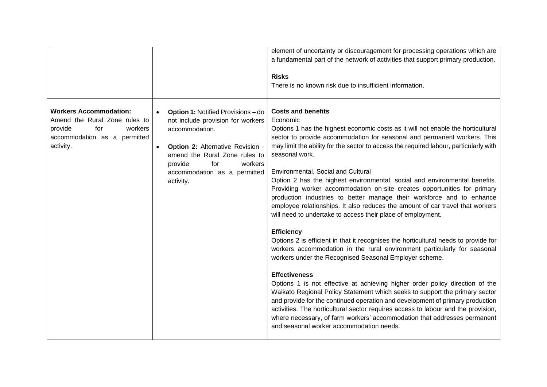|                                                                                                                                          |                                                                                                                                                                                                                                                              | element of uncertainty or discouragement for processing operations which are<br>a fundamental part of the network of activities that support primary production.<br><b>Risks</b><br>There is no known risk due to insufficient information.                                                                                                                                                                                                                                                                                                                                                                                                                                                                                                                                                                                                                                                                                                                                                                                                                                                                                                                                                                                                                                                                                                                                                                                                                                      |
|------------------------------------------------------------------------------------------------------------------------------------------|--------------------------------------------------------------------------------------------------------------------------------------------------------------------------------------------------------------------------------------------------------------|----------------------------------------------------------------------------------------------------------------------------------------------------------------------------------------------------------------------------------------------------------------------------------------------------------------------------------------------------------------------------------------------------------------------------------------------------------------------------------------------------------------------------------------------------------------------------------------------------------------------------------------------------------------------------------------------------------------------------------------------------------------------------------------------------------------------------------------------------------------------------------------------------------------------------------------------------------------------------------------------------------------------------------------------------------------------------------------------------------------------------------------------------------------------------------------------------------------------------------------------------------------------------------------------------------------------------------------------------------------------------------------------------------------------------------------------------------------------------------|
| <b>Workers Accommodation:</b><br>Amend the Rural Zone rules to<br>workers<br>provide<br>for<br>accommodation as a permitted<br>activity. | <b>Option 1: Notified Provisions - do</b><br>not include provision for workers<br>accommodation.<br>Option 2: Alternative Revision -<br>$\bullet$<br>amend the Rural Zone rules to<br>provide<br>for<br>workers<br>accommodation as a permitted<br>activity. | <b>Costs and benefits</b><br>Economic<br>Options 1 has the highest economic costs as it will not enable the horticultural<br>sector to provide accommodation for seasonal and permanent workers. This<br>may limit the ability for the sector to access the required labour, particularly with<br>seasonal work.<br>Environmental, Social and Cultural<br>Option 2 has the highest environmental, social and environmental benefits.<br>Providing worker accommodation on-site creates opportunities for primary<br>production industries to better manage their workforce and to enhance<br>employee relationships. It also reduces the amount of car travel that workers<br>will need to undertake to access their place of employment.<br><b>Efficiency</b><br>Options 2 is efficient in that it recognises the horticultural needs to provide for<br>workers accommodation in the rural environment particularly for seasonal<br>workers under the Recognised Seasonal Employer scheme.<br><b>Effectiveness</b><br>Options 1 is not effective at achieving higher order policy direction of the<br>Waikato Regional Policy Statement which seeks to support the primary sector<br>and provide for the continued operation and development of primary production<br>activities. The horticultural sector requires access to labour and the provision,<br>where necessary, of farm workers' accommodation that addresses permanent<br>and seasonal worker accommodation needs. |